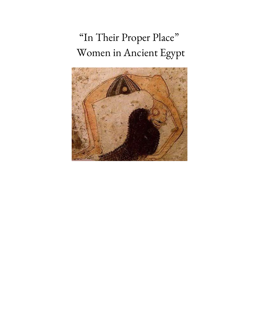# "In Their Proper Place " Women in Ancient Egypt

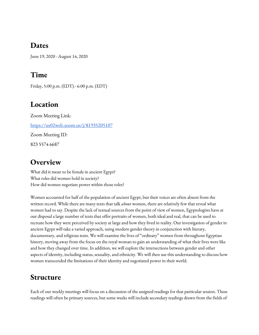#### **Dates**

June 19, 2020 - August 14, 2020

# **Time**

Friday, 5:00 p.m. (EDT).- 6:00 p.m. (EDT)

# **Location**

Zoom Meeting Link: [https://us02web.zoom.us/j/81935205107](https://urldefense.com/v3/__https://us02web.zoom.us/j/81935205107__;!!BpyFHLRN4TMTrA!soNnA_gScuUUQZPZ5Ma8oqxqaMQF7NrBvtv0zdATWJ_lwA6tv2oGE7C41hMb0jeg6k-o$) Zoom Meeting ID: 823 5574 6687

#### **Overview**

What did it mean to be female in ancient Egypt? What roles did women hold in society? How did women negotiate power within those roles?

Women accounted for half of the population of ancient Egypt, but their voices are often absent from the written record. While there are many texts that talk *about* women, there are relatively few that reveal what women had to say. Despite the lack of textual sources from the point of view of women, Egyptologists have at our disposal a large number of texts that offer portraits of women, both ideal and real, that can be used to recreate how they were perceived by society at large and how they lived in reality. Our investigation of gender in ancient Egypt will take a varied approach, using modern gender theory in conjunction with literary, documentary, and religious texts. We will examine the lives of "ordinary" women from throughout Egyptian history, moving away from the focus on the royal woman to gain an understanding of what their lives were like and how they changed over time. In addition, we will explore the intersections between gender and other aspects of identity, including status, sexuality, and ethnicity. We will then use this understanding to discuss how women transcended the limitations of their identity and negotiated power in their world.

## **Structure**

Each of our weekly meetings will focus on a discussion of the assigned readings for that particular session. These readings will often be primary sources, but some weeks will include secondary readings drawn from the fields of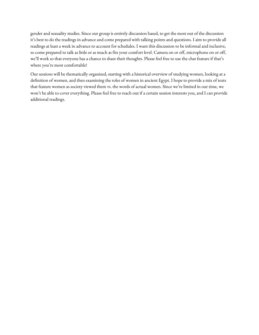gender and sexuality studies. Since our group is entirely discussion based, to get the most out of the discussion it's best to do the readings in advance and come prepared with talking points and questions. I aim to provide all readings at least a week in advance to account for schedules. I want this discussion to be informal and inclusive, so come prepared to talk as little or as much as fits your comfort level. Camera on or off, microphone on or off, we'll work so that everyone has a chance to share their thoughts. Please feel free to use the chat feature if that's where you're most comfortable!

Our sessions will be thematically organized, starting with a historical overview of studying women, looking at a definition of women, and then examining the roles of women in ancient Egypt. I hope to provide a mix of texts that feature women as society viewed them vs. the words of actual women. Since we're limited in our time, we won't be able to cover everything. Please feel free to reach out if a certain session interests you, and I can provide additional readings.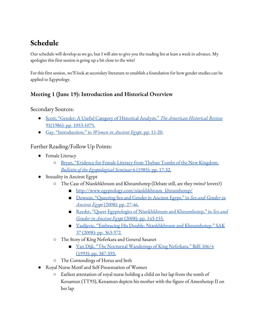# **Schedule**

Our schedule will develop as we go, but I will aim to give you the reading list at least a week in advance. My apologies this first session is going up a bit close to the wire!

For this first session, we'll look at secondary literature to establish a foundation for how gender studies can be applied to Egyptology.

#### **Meeting 1 (June 19): Introduction and Historical Overview**

Secondary Sources:

- Scott, "Gender: A Useful Category of Historical [Analysis,"](https://drive.google.com/file/d/1HjEIo_UxqRUhGi2a3fvA-lzXvwCDOmjC/view?usp=sharing) *The [American](https://drive.google.com/file/d/1HjEIo_UxqRUhGi2a3fvA-lzXvwCDOmjC/view?usp=sharing) Historical Review* 91(1986): pp. [1053-1075.](https://drive.google.com/file/d/1HjEIo_UxqRUhGi2a3fvA-lzXvwCDOmjC/view?usp=sharing)
- Gay, ["Introduction,"](https://drive.google.com/file/d/1SkXfu8XMuXduiL65sBUO47pSHYFNbSgP/view?usp=sharing) in *[Women](https://drive.google.com/file/d/1SkXfu8XMuXduiL65sBUO47pSHYFNbSgP/view?usp=sharing) in Ancient Egypt*, pp. [11-20.](https://drive.google.com/file/d/1SkXfu8XMuXduiL65sBUO47pSHYFNbSgP/view?usp=sharing)

#### Further Reading/Follow Up Points:

- Female Literacy
	- Bryan, "Evidence for Female Literacy from Theban Tombs of the New [Kingdom,](https://drive.google.com/file/d/1hQXlO6NNSlcp7DBl-SAwoWfvSGzajOdy/view?usp=sharing) *Bulletin of the [Egyptological](https://drive.google.com/file/d/1hQXlO6NNSlcp7DBl-SAwoWfvSGzajOdy/view?usp=sharing) Seminar* 6 [\(1985\):](https://drive.google.com/file/d/1hQXlO6NNSlcp7DBl-SAwoWfvSGzajOdy/view?usp=sharing) pp. 17-32.
- Sexuality in Ancient Egypt
	- The Case of Niankhkhnum and Khnumhotep (Debate still, are they twins? lovers?)
		- [http://www.egyptology.com/niankhkhnum\\_khnumhotep/](http://www.egyptology.com/niankhkhnum_khnumhotep/)
		- Dowson, ["Queering](https://drive.google.com/file/d/1MIxgOqyshIurg1bi-LCcsJj__q_8jpbh/view?usp=sharing) Sex and [Gender](https://drive.google.com/file/d/1MIxgOqyshIurg1bi-LCcsJj__q_8jpbh/view?usp=sharing) in Ancient Egypt," in Sex and Gender in *[Ancient](https://drive.google.com/file/d/1MIxgOqyshIurg1bi-LCcsJj__q_8jpbh/view?usp=sharing) Egypt* [\(2008\):](https://drive.google.com/file/d/1MIxgOqyshIurg1bi-LCcsJj__q_8jpbh/view?usp=sharing) pp. 27-46.
		- Reeder, "Queer Egyptologies of Niankhkhnum and [Khnumhotep,"](https://drive.google.com/file/d/1g01zRUNh8pGvqOCGa9gut50VcaKbmSEn/view?usp=sharing) in *Sex [and](https://drive.google.com/file/d/1g01zRUNh8pGvqOCGa9gut50VcaKbmSEn/view?usp=sharing) Gender in [Ancient](https://drive.google.com/file/d/1g01zRUNh8pGvqOCGa9gut50VcaKbmSEn/view?usp=sharing) Egypt* (2008): pp. [143-155.](https://drive.google.com/file/d/1g01zRUNh8pGvqOCGa9gut50VcaKbmSEn/view?usp=sharing)
		- Vasiljevic, "Embracing His Double: Niankhkhnum and [Khnumhotep,"](https://drive.google.com/file/d/17AI08eCWLGQWcGpJd3axJaBBJ7aJ9xpz/view?usp=sharing) SAK 37 (2008): pp. [363-372.](https://drive.google.com/file/d/17AI08eCWLGQWcGpJd3axJaBBJ7aJ9xpz/view?usp=sharing)
	- The Story of King Neferkara and General Sasanet
		- Van Dijk, "The Nocturnal [Wanderings](https://drive.google.com/file/d/1dr87Q12ZeJt58-5mi-YfM49lUKL0y5iA/view?usp=sharing) of King Neferkara," BdE 106/4 (1993): pp. [387-393.](https://drive.google.com/file/d/1dr87Q12ZeJt58-5mi-YfM49lUKL0y5iA/view?usp=sharing)
	- The Contendings of Horus and Seth
- Royal Nurse Motif and Self-Presentation of Women
	- Earliest attestation of royal nurse holding a child on her lap from the tomb of Kenamun (TT93), Kenamun depicts his mother with the figure of Amenhotep II on her lap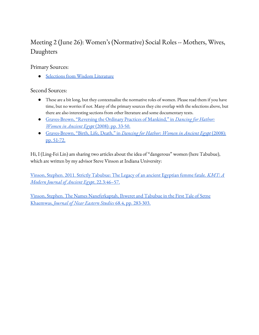# Meeting 2 (June 26): Women's (Normative) Social Roles -- Mothers, Wives, Daughters

Primary Sources:

● Selections from Wisdom [Literature](https://docs.google.com/document/d/1R6PurTKH01MzhQfDroTalDD3aifDGlJpR9lJEppqO5I/edit?usp=sharing)

Second Sources:

- These are a bit long, but they contextualize the normative roles of women. Please read them if you have time, but no worries if not. Many of the primary sources they cite overlap with the selections above, but there are also interesting sections from other literature and some documentary texts.
- [Graves-Brown,](https://drive.google.com/file/d/1DYhXLJz3LtqmLR3FR6dpO4oLFQBF3a2C/view?usp=sharing) "Reversing the Ordinary Practices of Mankind," in *[Dancing](https://drive.google.com/file/d/1DYhXLJz3LtqmLR3FR6dpO4oLFQBF3a2C/view?usp=sharing) for Hathor: [Women](https://drive.google.com/file/d/1DYhXLJz3LtqmLR3FR6dpO4oLFQBF3a2C/view?usp=sharing) in Ancient Egypt* [\(2008\):](https://drive.google.com/file/d/1DYhXLJz3LtqmLR3FR6dpO4oLFQBF3a2C/view?usp=sharing) pp. 33-50.
- [Graves-Brown,](https://drive.google.com/file/d/1_ORXae8ahg6tPmLkT0DUfR0MX82oBbpJ/view?usp=sharing) "Birth, Life, Death," in *[Dancing](https://drive.google.com/file/d/1_ORXae8ahg6tPmLkT0DUfR0MX82oBbpJ/view?usp=sharing) for Hathor: Women in Ancient Egypt* [\(2008\):](https://drive.google.com/file/d/1_ORXae8ahg6tPmLkT0DUfR0MX82oBbpJ/view?usp=sharing) pp. [51-72.](https://drive.google.com/file/d/1_ORXae8ahg6tPmLkT0DUfR0MX82oBbpJ/view?usp=sharing)

Hi, I (Ling-Fei Lin) am sharing two articles about the idea of "dangerous" women (here Tabubue), which are written by my advisor Steve Vinson at Indiana University:

Vinson, Stephen. 2011. Strictly [Tabubue:](https://drive.google.com/file/d/1eos4saSEWEhy9puyjf57rj2pCwfJk76Y/view?usp=sharing) The Legacy of an ancient Egyptian femme fatale. *[KMT:](https://drive.google.com/file/d/1eos4saSEWEhy9puyjf57rj2pCwfJk76Y/view?usp=sharing) A [Modern](https://drive.google.com/file/d/1eos4saSEWEhy9puyjf57rj2pCwfJk76Y/view?usp=sharing) Journal of Ancient Egypt*, [22.3:46–57.](https://drive.google.com/file/d/1eos4saSEWEhy9puyjf57rj2pCwfJk76Y/view?usp=sharing)

Vinson, Stephen. The Names [Naneferkaptah,](https://drive.google.com/file/d/1S4t6DMuaRPOXaKU8EIP-towoTiLuYM-v/view?usp=sharing) Ihweret and Tabubue in the First Tale of Setne [Khaemwas,](https://drive.google.com/file/d/1S4t6DMuaRPOXaKU8EIP-towoTiLuYM-v/view?usp=sharing) *Journal of Near [Eastern](https://drive.google.com/file/d/1S4t6DMuaRPOXaKU8EIP-towoTiLuYM-v/view?usp=sharing) Studies* 68.4, pp. [283-303.](https://drive.google.com/file/d/1S4t6DMuaRPOXaKU8EIP-towoTiLuYM-v/view?usp=sharing)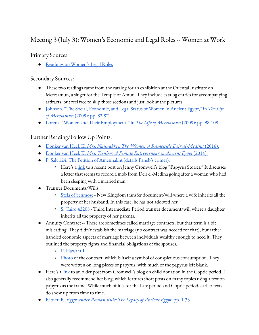#### Meeting 3 (July 3): Women's Economic and Legal Roles -- Women at Work

Primary Sources:

● Readings on [Women's](https://docs.google.com/document/d/1sxVVrsVb5ijhsm1Lq2iLUDaDY15UW0Cc6o8mzqFbT3I/edit?usp=sharing) Legal Roles

Secondary Sources:

- These two readings came from the catalog for an exhibition at the Oriental Institute on Meresamun, a singer for the Temple of Amun. They include catalog entries for accompanying artifacts, but feel free to skip those sections and just look at the pictures!
- Johnson, "The Social, [Economic,](https://drive.google.com/file/d/1-5WiXOAlXIiKBXmNvVx7kF2YgvVCVm5C/view?usp=sharing) and Legal Status of Women in Ancient Egypt," in *The [Life](https://drive.google.com/file/d/1-5WiXOAlXIiKBXmNvVx7kF2YgvVCVm5C/view?usp=sharing) of [Meresamun](https://drive.google.com/file/d/1-5WiXOAlXIiKBXmNvVx7kF2YgvVCVm5C/view?usp=sharing)* [\(2009\):](https://drive.google.com/file/d/1-5WiXOAlXIiKBXmNvVx7kF2YgvVCVm5C/view?usp=sharing) pp. 82-97.
- Lorenz, "Women and Their [Employment,"](https://drive.google.com/file/d/1dpGyPV16LrpkGkm2R30odBkWF06WTovj/view?usp=sharing) in *The Life of [Meresamun](https://drive.google.com/file/d/1dpGyPV16LrpkGkm2R30odBkWF06WTovj/view?usp=sharing)* (2009): pp. [98-109.](https://drive.google.com/file/d/1dpGyPV16LrpkGkm2R30odBkWF06WTovj/view?usp=sharing)

#### Further Reading/Follow Up Points:

- [Donker](https://drive.google.com/file/d/1p5j1--uLAE0Q9pMTkIjLPrWHVgMrLxsG/view?usp=sharing) van Heel, K. *Mrs. [Naunakhte:](https://drive.google.com/file/d/1p5j1--uLAE0Q9pMTkIjLPrWHVgMrLxsG/view?usp=sharing) The Women of Ramesside Deir al-Medina* [\(2016\).](https://drive.google.com/file/d/1p5j1--uLAE0Q9pMTkIjLPrWHVgMrLxsG/view?usp=sharing)
- [Donker](https://drive.google.com/drive/folders/1ToTIZb3HZpPNuA2yFMw0YmQeZI7Y5cPN?usp=sharing) van Heel, K. *Mrs. Tsenhor: A Female [Entrepreneur](https://drive.google.com/drive/folders/1ToTIZb3HZpPNuA2yFMw0YmQeZI7Y5cPN?usp=sharing) in Ancient Egypt* [\(2014\).](https://drive.google.com/drive/folders/1ToTIZb3HZpPNuA2yFMw0YmQeZI7Y5cPN?usp=sharing)
- P. Salt 124: The Petition of [Amennakht](https://drive.google.com/file/d/1YYEMX3w1xA2yZ7NFiSr9aYj5k12RDkaG/view?usp=sharing) (details Paneb's crimes).
	- Here's a [link](https://papyrus-stories.com/2020/06/26/mob-rule-and-personal-relations-in-an-egyptian-village/) to a recent post on Jenny Cromwell's blog "Papyrus Stories." It discusses a letter that seems to record a mob from Deir el-Medina going after a woman who had been sleeping with a married man.
- Transfer Documents/Wills
	- Stela of [Senmose](https://drive.google.com/file/d/1E-lT8MWXQz6JRP_7o15803a_BA97XNSy/view?usp=sharing) New Kingdom transfer document/will where a wife inherits all the property of her husband. In this case, he has not adopted her.
	- S. Cairo [42208](https://drive.google.com/file/d/1c6193JNj_6GZO-wHiF2LbDMlisGlGzZq/view?usp=sharing) Third Intermediate Period transfer document/will where a daughter inherits all the property of her parents.
- Annuity Contract -- These are sometimes called marriage contracts, but that term is a bit misleading. They didn't establish the marriage (no contract was needed for that), but rather handled economic aspects of marriage between individuals wealthy enough to need it. They outlined the property rights and financial obligations of the spouses.
	- P. [Hawara](https://drive.google.com/file/d/1W84y8AtqptWyu8kcbG580OlESRLBG1mA/view?usp=sharing) 1
	- [Photo](https://oi-idb-static.uchicago.edu/multimedia/257784/D.%2029941_E17481_003.1920x1200.jpg) of the contract, which is itself a symbol of conspicuous consumption. They were written on long pieces of papyrus, with much of the papyrus left blank.
- Here's a [link](https://papyrus-stories.com/2019/04/29/if-god-saves-him-from-death-donation-of-a-boy-to-a-coptic-monastery/) to an older post from Cromwell's blog on child donation in the Coptic period. I also generally recommend her blog, which features short posts on many topics using a text on papyrus as the frame. While much of it is for the Late period and Coptic period, earlier texts do show up from time to time.
- [Ritner,](https://drive.google.com/file/d/1FrgkcyKc5Odt_wyIROYrQ71pxopwu4kz/view?usp=sharing) R. *Egypt under Roman Rule: The Legacy of [Ancient](https://drive.google.com/file/d/1FrgkcyKc5Odt_wyIROYrQ71pxopwu4kz/view?usp=sharing) Egypt*, pp. [1-33.](https://drive.google.com/file/d/1FrgkcyKc5Odt_wyIROYrQ71pxopwu4kz/view?usp=sharing)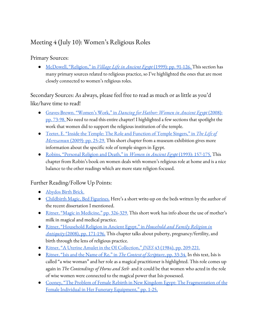## Meeting 4 (July 10): Women's Religious Roles

#### Primary Sources:

● McDowell, ["Religion,"](https://drive.google.com/file/d/1F6n78gQe9vaCJfBSwwlPMrNQBktFSi_H/view?usp=sharing) in *Village Life in [Ancient](https://drive.google.com/file/d/1F6n78gQe9vaCJfBSwwlPMrNQBktFSi_H/view?usp=sharing) Egypt* (1999): pp. [91-126.](https://drive.google.com/file/d/1F6n78gQe9vaCJfBSwwlPMrNQBktFSi_H/view?usp=sharing) This section has many primary sources related to religious practice, so I've highlighted the ones that are most closely connected to women's religious roles.

Secondary Sources: As always, please feel free to read as much or as little as you'd like/have time to read!

- [Graves-Brown.](https://drive.google.com/file/d/1bmIP5gQz970PuBhQiNncglNQvHXeDEGi/view?usp=sharing) "Women's Work," in *[Dancing](https://drive.google.com/file/d/1bmIP5gQz970PuBhQiNncglNQvHXeDEGi/view?usp=sharing) for Hathor: Women in Ancient Egypt* [\(2008\):](https://drive.google.com/file/d/1bmIP5gQz970PuBhQiNncglNQvHXeDEGi/view?usp=sharing) pp. [73-98.](https://drive.google.com/file/d/1bmIP5gQz970PuBhQiNncglNQvHXeDEGi/view?usp=sharing) No need to read this entire chapter! I highlighted a few sections that spotlight the work that women did to support the religious institution of the temple.
- Teeter, E. "Inside the Temple: The Role and [Function](https://drive.google.com/file/d/1S6vYMvd-caETcKoeqj0YvsFHIWNk5sbQ/view?usp=sharing) of Temple Singers," in *The [Life](https://drive.google.com/file/d/1S6vYMvd-caETcKoeqj0YvsFHIWNk5sbQ/view?usp=sharing) of [Meresamun](https://drive.google.com/file/d/1S6vYMvd-caETcKoeqj0YvsFHIWNk5sbQ/view?usp=sharing)* [\(2009\):](https://drive.google.com/file/d/1S6vYMvd-caETcKoeqj0YvsFHIWNk5sbQ/view?usp=sharing) pp. 25-29. This short chapter from a museum exhibition gives more information about the specific role of temple singers in Egypt.
- Robins, ["Personal](https://drive.google.com/file/d/1qCSIbCVSscSxRX7zIzy3zw7NU_hNsq2c/view?usp=sharing) Religion and Death," in *[Women](https://drive.google.com/file/d/1qCSIbCVSscSxRX7zIzy3zw7NU_hNsq2c/view?usp=sharing) in Ancient Egypt* (1993): [157-175.](https://drive.google.com/file/d/1qCSIbCVSscSxRX7zIzy3zw7NU_hNsq2c/view?usp=sharing) This chapter from Robin's book on women deals with women's religious role at home and is a nice balance to the other readings which are more state religion focused.

#### Further Reading/Follow Up Points:

- [Abydos](https://drive.google.com/file/d/1u0_M2XflSz7suK-59k4YlMpyUXFkVd2l/view?usp=sharing) Birth Brick.
- [Childbirth](https://www.penn.museum/sites/expedition/childbirth-magic/) Magic, Bed Figurines. Here's a short write-up on the beds written by the author of the recent dissertation I mentioned.
- Ritner, "Magic in [Medicine,"](https://drive.google.com/file/d/1Btfuj_VceE2pJa0-cIcMlplFZ_MAcABb/view?usp=sharing) pp. 326-329. This short work has info about the use of mother's milk in magical and medical practice.
- Ritner, ["Household](https://drive.google.com/file/d/1hMc_Q2vcI97-nhv4EpId2nT8woxWYWjx/view?usp=sharing) Religion in Ancient Egypt," in *[Household](https://drive.google.com/file/d/1hMc_Q2vcI97-nhv4EpId2nT8woxWYWjx/view?usp=sharing) and Family Religion in [Antiquity](https://drive.google.com/file/d/1hMc_Q2vcI97-nhv4EpId2nT8woxWYWjx/view?usp=sharing)* (2008), pp. [171-196.](https://drive.google.com/file/d/1hMc_Q2vcI97-nhv4EpId2nT8woxWYWjx/view?usp=sharing) This chapter talks about puberty, pregnancy/fertility, and birth through the lens of religious practice.
- Ritner, "A Uterine Amulet in the OI [Collection,"](https://drive.google.com/file/d/1EkVItpZPkbDmlOgQfagxpykFYqmGsliU/view?usp=sharing) *[JNES](https://drive.google.com/file/d/1EkVItpZPkbDmlOgQfagxpykFYqmGsliU/view?usp=sharing)* 43 (1984), pp. [209-221.](https://drive.google.com/file/d/1EkVItpZPkbDmlOgQfagxpykFYqmGsliU/view?usp=sharing)
- [Ritner,](https://drive.google.com/file/d/1ZjvWNQSJjC_qLgni0cMFeH2VoQdoE3Wg/view?usp=sharing) "Isis and the Name of Re," in *The Context of [Scripture](https://drive.google.com/file/d/1ZjvWNQSJjC_qLgni0cMFeH2VoQdoE3Wg/view?usp=sharing)*, pp. [33-34.](https://drive.google.com/file/d/1ZjvWNQSJjC_qLgni0cMFeH2VoQdoE3Wg/view?usp=sharing) In this text, Isis is called "a wise woman" and her role as a magical practitioner is highlighted. This role comes up again in *The Contendings of Horus and Seth* and it could be that women who acted in the role of wise women were connected to the magical power that Isis possessed.
- Cooney, "The Problem of Female Rebirth in New Kingdom Egypt: The [Fragmentation](https://drive.google.com/file/d/1RN7hWE-SpunhSnflfY0pnQKFlHJFg6Yc/view?usp=sharing) of the Female Individual in Her Funerary [Equipment,"](https://drive.google.com/file/d/1RN7hWE-SpunhSnflfY0pnQKFlHJFg6Yc/view?usp=sharing) pp. 1-25.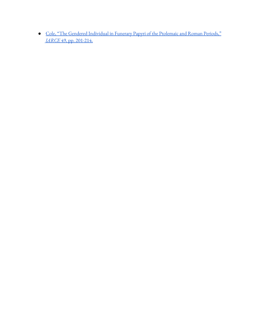● Cole, "The Gendered [Individual](https://drive.google.com/file/d/1_cV0iYVUEk70PnJe4ovEcAN07Xmnf6oQ/view?usp=sharing) in Funerary Papyri of the Ptolemaic and Roman Periods," *[JARCE](https://drive.google.com/file/d/1_cV0iYVUEk70PnJe4ovEcAN07Xmnf6oQ/view?usp=sharing)* 49, pp. [201-214.](https://drive.google.com/file/d/1_cV0iYVUEk70PnJe4ovEcAN07Xmnf6oQ/view?usp=sharing)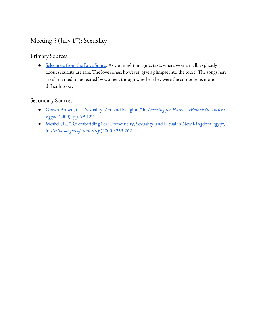## Meeting 5 (July 17): Sexuality

#### Primary Sources:

• [Selections](https://docs.google.com/document/d/16Ldd-FQiw4dj_3HLJ-YxSU8hUa4zUKbCBZgztZA5YvE/edit?usp=sharing) from the Love Songs. As you might imagine, texts where women talk explicitly about sexuality are rare. The love songs, however, give a glimpse into the topic. The songs here are all marked to be recited by women, though whether they were the composer is more difficult to say.

#### Secondary Sources:

- [Graves-Brown,](https://drive.google.com/file/d/1IrdsSOUqQhctH6mjqCpJy1XQ66Px8vOJ/view?usp=sharing) C., "Sexuality, Art, and Religion,["](https://drive.google.com/file/d/1IrdsSOUqQhctH6mjqCpJy1XQ66Px8vOJ/view?usp=sharing) [in](https://drive.google.com/file/d/1IrdsSOUqQhctH6mjqCpJy1XQ66Px8vOJ/view?usp=sharing) *[Dancing](https://drive.google.com/file/d/1IrdsSOUqQhctH6mjqCpJy1XQ66Px8vOJ/view?usp=sharing) for Hathor: Women in Ancient [Egypt](https://drive.google.com/file/d/1IrdsSOUqQhctH6mjqCpJy1XQ66Px8vOJ/view?usp=sharing)* (2000): pp. [99-127.](https://drive.google.com/file/d/1IrdsSOUqQhctH6mjqCpJy1XQ66Px8vOJ/view?usp=sharing)
- Meskell, L., ["Re-embedding](https://drive.google.com/file/d/12FCX-aa-xim-_3OcGNHb1VfXxnAphdVp/view?usp=sharing) Sex: Domesticity, Sexuality, and Ritual in New Kingdom Egypt," [in](https://drive.google.com/file/d/12FCX-aa-xim-_3OcGNHb1VfXxnAphdVp/view?usp=sharing) *[Archaeologies](https://drive.google.com/file/d/12FCX-aa-xim-_3OcGNHb1VfXxnAphdVp/view?usp=sharing) of Sexuality* (2000): [253-262.](https://drive.google.com/file/d/12FCX-aa-xim-_3OcGNHb1VfXxnAphdVp/view?usp=sharing)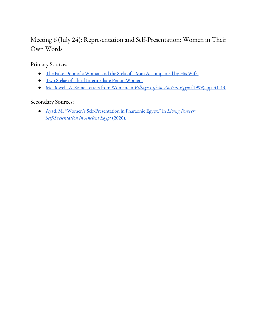## Meeting 6 (July 24): Representation and Self-Presentation: Women in Their Own Words

Primary Sources:

- The False Door of a Woman and the Stela of a Man [Accompanied](https://drive.google.com/file/d/1VA-nYzVw7PtiH1YYeFBrsdkCWZZj4xBz/view?usp=sharing) by His Wife.
- Two Stelae of Third [Intermediate](https://drive.google.com/file/d/1ezEnWp6LpBJCU2LpQlCefID8u8b1gkbN/view?usp=sharing) Period Women.
- [McDowell,](https://drive.google.com/file/d/1aeKiNk5wEjOYwa9oFpUnMVCL5eHCnjLZ/view?usp=sharing) A. Some Letters from Women, in *Village Life in [Ancient](https://drive.google.com/file/d/1aeKiNk5wEjOYwa9oFpUnMVCL5eHCnjLZ/view?usp=sharing) Egypt* [\(1999\),](https://drive.google.com/file/d/1aeKiNk5wEjOYwa9oFpUnMVCL5eHCnjLZ/view?usp=sharing) pp. 41-43.

#### Secondary Sources:

● Ayad, M. "Women's [Self-Presentation](https://drive.google.com/file/d/1DdgHPvbMAKvsyVTUxFSZmXH8E70HUt5L/view?usp=sharing) in Pharaonic Egypt," in *Living [Forever:](https://drive.google.com/file/d/1DdgHPvbMAKvsyVTUxFSZmXH8E70HUt5L/view?usp=sharing) [Self-Presentation](https://drive.google.com/file/d/1DdgHPvbMAKvsyVTUxFSZmXH8E70HUt5L/view?usp=sharing) in Ancient Egypt* [\(2020\).](https://drive.google.com/file/d/1DdgHPvbMAKvsyVTUxFSZmXH8E70HUt5L/view?usp=sharing)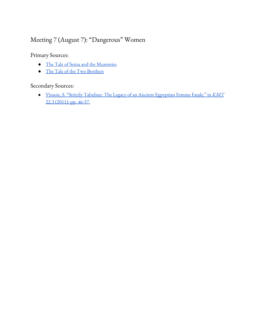# Meeting 7 (August 7): "Dangerous" Women

Primary Sources:

- The Tale of Setna and the [Mummies](https://drive.google.com/file/d/1j-l4akf8XhfFAUAJvAfNJH1xn9RwKO_2/view?usp=sharing)
- The Tale of the Two [Brothers](https://drive.google.com/file/d/1YZyevrF-2pJzyPgGynAkvLBy2MVNKxUj/view?usp=sharing)

#### Secondary Sources:

● Vinson, S. "Strictly Tabubue: The Legacy of an Ancient [Egpyptian](https://drive.google.com/file/d/19osAj0i8csp_EJ3n5ZOHuaIQCacdJ8BE/view?usp=sharing) Femme Fatale," in *[KMT](https://drive.google.com/file/d/19osAj0i8csp_EJ3n5ZOHuaIQCacdJ8BE/view?usp=sharing)* 22.3 [\(2011\):](https://drive.google.com/file/d/19osAj0i8csp_EJ3n5ZOHuaIQCacdJ8BE/view?usp=sharing) pp. 46-57.